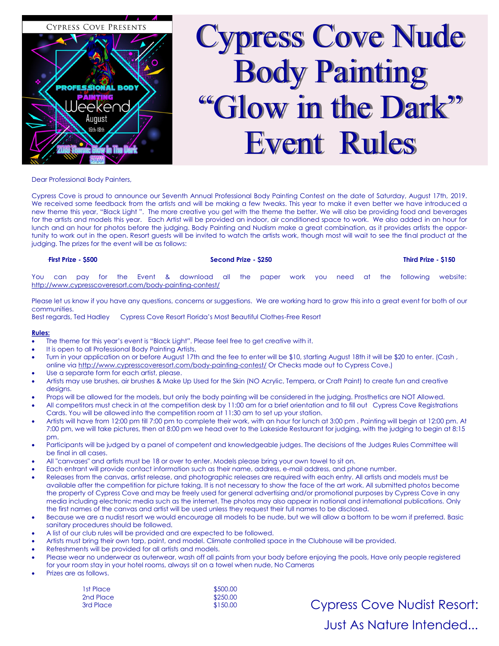

# Cypress Cove Nude Body Painting "Glow in the Dark" Event Rules

Dear Professional Body Painters,

Cypress Cove is proud to announce our Seventh Annual Professional Body Painting Contest on the date of Saturday, August 17th, 2019. We received some feedback from the artists and will be making a few tweaks. This year to make it even better we have introduced a new theme this year, "Black Light ". The more creative you get with the theme the better. We will also be providing food and beverages for the artists and models this year. Each Artist will be provided an indoor, air conditioned space to work. We also added in an hour for lunch and an hour for photos before the judging. Body Painting and Nudism make a great combination, as it provides artists the opportunity to work out in the open. Resort guests will be invited to watch the artists work, though most will wait to see the final product at the judging. The prizes for the event will be as follows:

## ·**First Prize - \$500 Second Prize - \$250 Third Prize - \$150**

You can pay for the Event & download all the paper work you need at the following website: <http://www.cypresscoveresort.com/body-painting-contest/>

Please let us know if you have any questions, concerns or suggestions. We are working hard to grow this into a great event for both of our communities.

Best regards, Ted Hadley Cypress Cove Resort Florida's Most Beautiful Clothes-Free Resort

## **Rules:**

- The theme for this year's event is "Black Light". Please feel free to get creative with it.
- It is open to all Professional Body Painting Artists.
- Turn in your application on or before August 17th and the fee to enter will be \$10, starting August 18th it will be \$20 to enter. (Cash, online via<http://www.cypresscoveresort.com/body-painting-contest/> Or Checks made out to Cypress Cove.)
- Use a separate form for each artist, please.
- Artists may use brushes, air brushes & Make Up Used for the Skin (NO Acrylic, Tempera, or Craft Paint) to create fun and creative desians.
- Props will be allowed for the models, but only the body painting will be considered in the judging. Prosthetics are NOT Allowed.
- All competitors must check in at the competition desk by 11:00 am for a brief orientation and to fill out Cypress Cove Registrations Cards. You will be allowed into the competition room at 11:30 am to set up your station.
- Artists will have from 12:00 pm till 7:00 pm to complete their work, with an hour for lunch at 3:00 pm . Painting will begin at 12:00 pm. At 7:00 pm, we will take pictures, then at 8:00 pm we head over to the Lakeside Restaurant for judging, with the judging to begin at 8:15 pm.
- Participants will be judged by a panel of competent and knowledgeable judges. The decisions of the Judges Rules Committee will be final in all cases.
- All "canvases" and artists must be 18 or over to enter. Models please bring your own towel to sit on.
- Each entrant will provide contact information such as their name, address, e-mail address, and phone number.
- Releases from the canvas, artist release, and photographic releases are required with each entry. All artists and models must be available after the competition for picture taking. It is not necessary to show the face of the art work. All submitted photos become the property of Cypress Cove and may be freely used for general advertising and/or promotional purposes by Cypress Cove in any media including electronic media such as the internet. The photos may also appear in national and international publications. Only the first names of the canvas and artist will be used unless they request their full names to be disclosed.
- Because we are a nudist resort we would encourage all models to be nude, but we will allow a bottom to be worn if preferred. Basic sanitary procedures should be followed.
- A list of our club rules will be provided and are expected to be followed.
- Artists must bring their own tarp, paint, and model. Climate controlled space in the Clubhouse will be provided.
- Refreshments will be provided for all artists and models.
- Please wear no underwear as outerwear, wash off all paints from your body before enjoying the pools, Have only people registered for your room stay in your hotel rooms, always sit on a towel when nude, No Cameras
- Prizes are as follows.

| 1st Place | \$500.00 |
|-----------|----------|
| 2nd Place | \$250.00 |
| 3rd Place | \$150.00 |

Cypress Cove Nudist Resort: Just As Nature Intended...